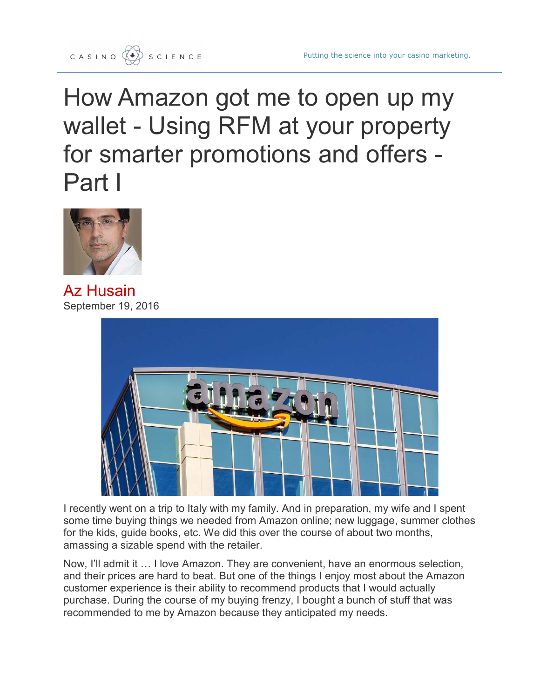How Amazon got me to open up my wallet - Using RFM at your property for smarter promotions and offers - Part I



Az Husain September 19, 2016



I recently went on a trip to Italy with my family. And in preparation, my wife and I spent some time buying things we needed from Amazon online; new luggage, summer clothes for the kids, guide books, etc. We did this over the course of about two months, amassing a sizable spend with the retailer.

Now, I'll admit it … I love Amazon. They are convenient, have an enormous selection, and their prices are hard to beat. But one of the things I enjoy most about the Amazon customer experience is their ability to recommend products that I would actually purchase. During the course of my buying frenzy, I bought a bunch of stuff that was recommended to me by Amazon because they anticipated my needs.